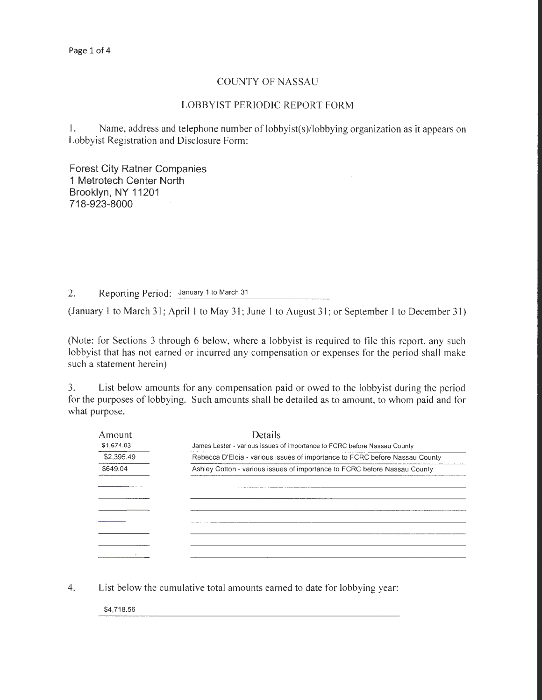## COUNTY OF NASSAU

## LOBBYIST PERIODIC REPORT FORM

I. Name, address and telephone number of lobbyist(s)/lobbying organization as it appears on Lobbyist Registration and Disclosure Form:

Forest City Ratner Companies 1 Metrotech Center North Brooklyn, NY 11201 718-923-8000

2. Reporting Period: January 1 to March 31

(January 1 to March 31; April 1 to May 31; June 1 to August 31; or September 1 to December 31)

(Note: for Sections 3 through 6 below, where a lobbyist is required to file this report, any such lobbyist that has not earned or incurred any compensation or expenses for the period shall make such a statement herein)

3. List below amounts for any compensation paid or owed to the lobbyist during the period for the purposes of lobbying. Such amounts shall be detailed as to amount, to whom paid and for what purpose.

| Amount     | Details                                                                                                                                                 |  |  |  |
|------------|---------------------------------------------------------------------------------------------------------------------------------------------------------|--|--|--|
| \$1,674.03 | James Lester - various issues of importance to FCRC before Nassau County<br>Rebecca D'Eloia - various issues of importance to FCRC before Nassau County |  |  |  |
| \$2,395.49 |                                                                                                                                                         |  |  |  |
| \$649.04   | Ashley Cotton - various issues of importance to FCRC before Nassau County                                                                               |  |  |  |
|            |                                                                                                                                                         |  |  |  |
|            |                                                                                                                                                         |  |  |  |
|            |                                                                                                                                                         |  |  |  |
|            |                                                                                                                                                         |  |  |  |
|            |                                                                                                                                                         |  |  |  |
|            |                                                                                                                                                         |  |  |  |
|            |                                                                                                                                                         |  |  |  |
|            |                                                                                                                                                         |  |  |  |

4. List below the cumulative total amounts earned to date for lobbying year:

\$4,718.56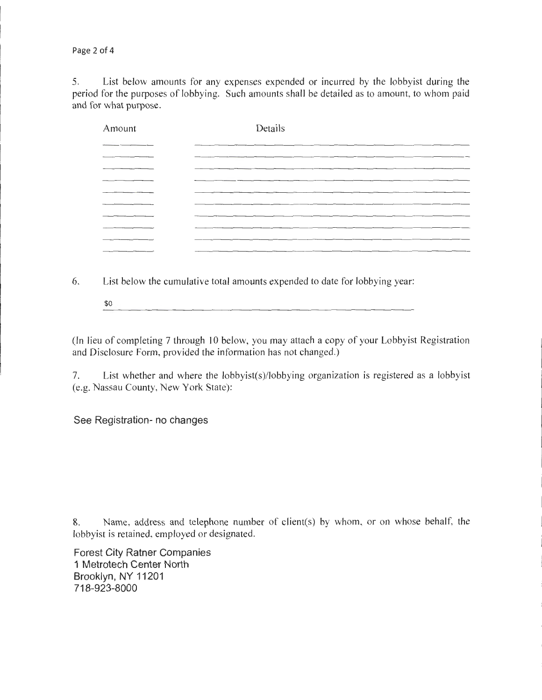Page 2 of 4

5. List below amounts for any expenses expended or incurred by the lobbyist during the period for the purposes of lobbying. Such amounts shall be detailed as to amount, to whom paid and for what purpose.

| Amount | Details                                                                                                         |  |
|--------|-----------------------------------------------------------------------------------------------------------------|--|
|        |                                                                                                                 |  |
|        |                                                                                                                 |  |
|        |                                                                                                                 |  |
|        |                                                                                                                 |  |
|        | the contract of the contract of the contract of the contract of the contract of the contract of the contract of |  |
|        |                                                                                                                 |  |
|        |                                                                                                                 |  |
|        |                                                                                                                 |  |
|        |                                                                                                                 |  |
|        |                                                                                                                 |  |

6. List below the cumulative total amounts expended to date for lobbying year:

\$0

(In lieu of completing 7 through 10 below, you may attach a copy of your Lobbyist Registration and Disclosure Form, provided the information has not changed.)

7. List whether and where the lobbyist(s)/lobbying organization is registered as a lobbyist (e.g. Nassau County, New York State):

See Registration- no changes

8. Name, address and telephone number of client(s) by whom, or on whose behalf, the lobbyist is retained, employed or designated.

Forest City Ratner Companies 1 Metrotech Center North Brooklyn, NY 11201 718-923-8000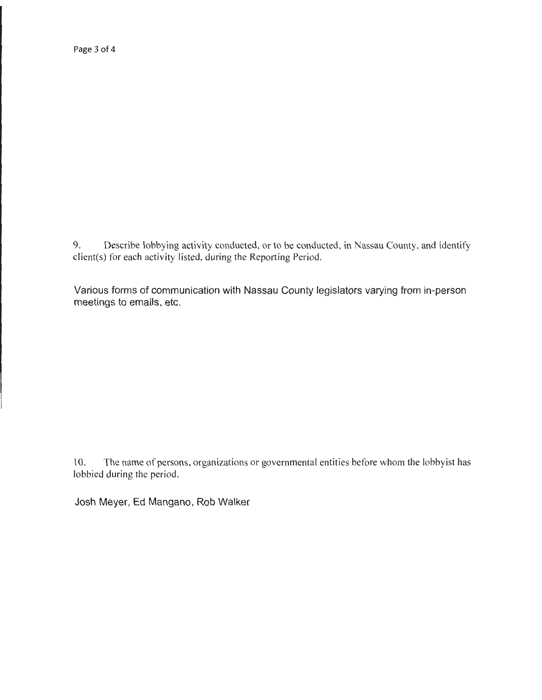Page 3 of 4

9. Describe lobbying activity conducted, or to be conducted, in Nassau County, and identify client(s) for each activity listed, during the Reporting Period.

Various forms of communication with Nassau County legislators varying from in-person meetings to emails, etc.

10. The name of persons, organizations or governmental entities before whom the lobbyist has lobbied during the period.

Josh Meyer, Ed Mangano, Rob Walker